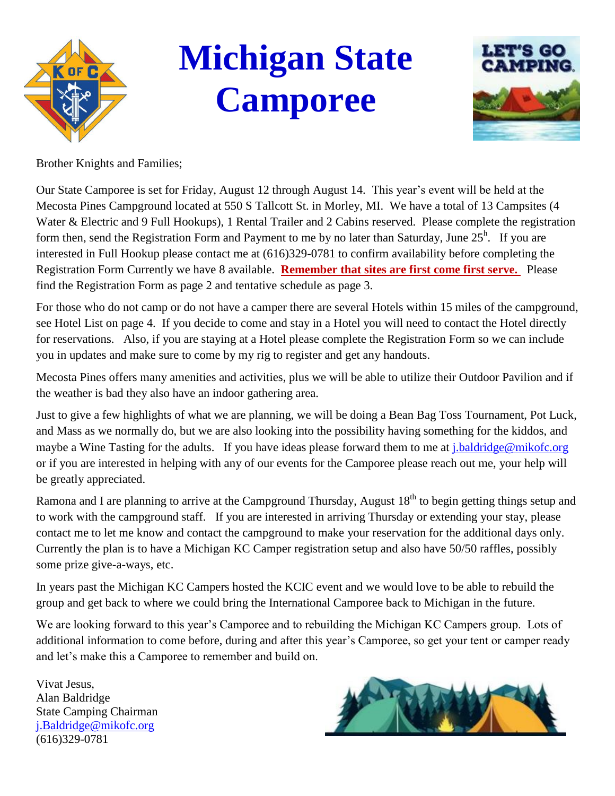

# **Michigan State Camporee**



Brother Knights and Families;

Our State Camporee is set for Friday, August 12 through August 14. This year's event will be held at the Mecosta Pines Campground located at 550 S Tallcott St. in Morley, MI. We have a total of 13 Campsites (4 Water & Electric and 9 Full Hookups), 1 Rental Trailer and 2 Cabins reserved. Please complete the registration form then, send the Registration Form and Payment to me by no later than Saturday, June  $25^{\text{h}}$ . If you are interested in Full Hookup please contact me at (616)329-0781 to confirm availability before completing the Registration Form Currently we have 8 available. **Remember that sites are first come first serve.** Please find the Registration Form as page 2 and tentative schedule as page 3.

For those who do not camp or do not have a camper there are several Hotels within 15 miles of the campground, see Hotel List on page 4. If you decide to come and stay in a Hotel you will need to contact the Hotel directly for reservations. Also, if you are staying at a Hotel please complete the Registration Form so we can include you in updates and make sure to come by my rig to register and get any handouts.

Mecosta Pines offers many amenities and activities, plus we will be able to utilize their Outdoor Pavilion and if the weather is bad they also have an indoor gathering area.

Just to give a few highlights of what we are planning, we will be doing a Bean Bag Toss Tournament, Pot Luck, and Mass as we normally do, but we are also looking into the possibility having something for the kiddos, and maybe a Wine Tasting for the adults. If you have ideas please forward them to me at *j*.baldridge@mikofc.org or if you are interested in helping with any of our events for the Camporee please reach out me, your help will be greatly appreciated.

Ramona and I are planning to arrive at the Campground Thursday, August 18<sup>th</sup> to begin getting things setup and to work with the campground staff. If you are interested in arriving Thursday or extending your stay, please contact me to let me know and contact the campground to make your reservation for the additional days only. Currently the plan is to have a Michigan KC Camper registration setup and also have 50/50 raffles, possibly some prize give-a-ways, etc.

In years past the Michigan KC Campers hosted the KCIC event and we would love to be able to rebuild the group and get back to where we could bring the International Camporee back to Michigan in the future.

We are looking forward to this year's Camporee and to rebuilding the Michigan KC Campers group. Lots of additional information to come before, during and after this year's Camporee, so get your tent or camper ready and let's make this a Camporee to remember and build on.

Vivat Jesus, Alan Baldridge State Camping Chairman [j.Baldridge@mikofc.org](mailto:j.Baldridge@mikofc.org) (616)329-0781

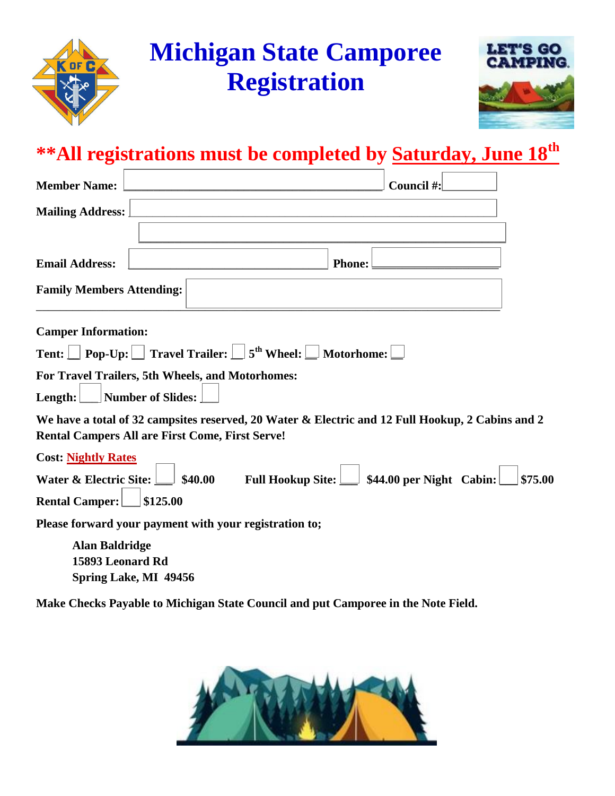



| <b>Member Name:</b>                                                                                                                                        |                          |                     |               | Council #:                            |         |
|------------------------------------------------------------------------------------------------------------------------------------------------------------|--------------------------|---------------------|---------------|---------------------------------------|---------|
| <b>Mailing Address:</b>                                                                                                                                    |                          |                     |               |                                       |         |
|                                                                                                                                                            |                          |                     |               |                                       |         |
| <b>Email Address:</b>                                                                                                                                      |                          |                     | <b>Phone:</b> |                                       |         |
| <b>Family Members Attending:</b>                                                                                                                           |                          |                     |               |                                       |         |
| <b>Camper Information:</b>                                                                                                                                 |                          |                     |               |                                       |         |
| <b>Tent:</b> $\Box$ Pop-Up: $\Box$ Travel Trailer: $\Box$ 5 <sup>th</sup> Wheel: $\Box$ Motorhome: $\Box$                                                  |                          |                     |               |                                       |         |
| For Travel Trailers, 5th Wheels, and Motorhomes:<br>Length:                                                                                                | <b>Number of Slides:</b> |                     |               |                                       |         |
| We have a total of 32 campsites reserved, 20 Water & Electric and 12 Full Hookup, 2 Cabins and 2<br><b>Rental Campers All are First Come, First Serve!</b> |                          |                     |               |                                       |         |
| <b>Cost: Nightly Rates</b>                                                                                                                                 |                          |                     |               |                                       |         |
| Water & Electric Site:                                                                                                                                     | \$40.00                  | Full Hookup Site: L |               | $\downarrow$ \$44.00 per Night Cabin: | \$75.00 |
| <b>Rental Camper:</b>                                                                                                                                      | \$125.00                 |                     |               |                                       |         |
| Please forward your payment with your registration to;                                                                                                     |                          |                     |               |                                       |         |
| <b>Alan Baldridge</b><br>15893 Leonard Rd                                                                                                                  | Spring Lake, MI 49456    |                     |               |                                       |         |

**Make Checks Payable to Michigan State Council and put Camporee in the Note Field.**